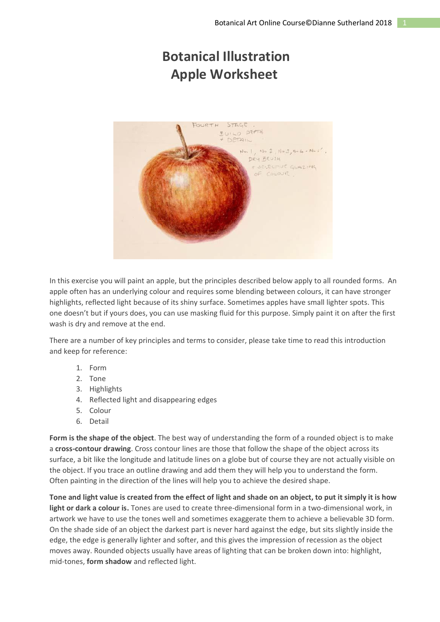# **Botanical Illustration Apple Worksheet**



In this exercise you will paint an apple, but the principles described below apply to all rounded forms. An apple often has an underlying colour and requires some blending between colours, it can have stronger highlights, reflected light because of its shiny surface. Sometimes apples have small lighter spots. This one doesn't but if yours does, you can use masking fluid for this purpose. Simply paint it on after the first wash is dry and remove at the end.

There are a number of key principles and terms to consider, please take time to read this introduction and keep for reference:

- 1. Form
- 2. Tone
- 3. Highlights
- 4. Reflected light and disappearing edges
- 5. Colour
- 6. Detail

**Form is the shape of the object**. The best way of understanding the form of a rounded object is to make a **cross-contour drawing**. Cross contour lines are those that follow the shape of the object across its surface, a bit like the longitude and latitude lines on a globe but of course they are not actually visible on the object. If you trace an outline drawing and add them they will help you to understand the form. Often painting in the direction of the lines will help you to achieve the desired shape.

**Tone and light value is created from the effect of light and shade on an object, to put it simply it is how light or dark a colour is.** Tones are used to create three-dimensional form in a two-dimensional work, in artwork we have to use the tones well and sometimes exaggerate them to achieve a believable 3D form. On the shade side of an object the darkest part is never hard against the edge, but sits slightly inside the edge, the edge is generally lighter and softer, and this gives the impression of recession as the object moves away. Rounded objects usually have areas of lighting that can be broken down into: highlight, mid-tones, **form shadow** and reflected light.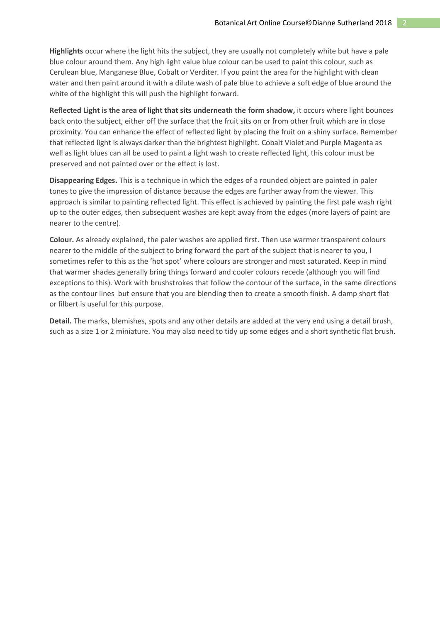**Highlights** occur where the light hits the subject, they are usually not completely white but have a pale blue colour around them. Any high light value blue colour can be used to paint this colour, such as Cerulean blue, Manganese Blue, Cobalt or Verditer. If you paint the area for the highlight with clean water and then paint around it with a dilute wash of pale blue to achieve a soft edge of blue around the white of the highlight this will push the highlight forward.

**Reflected Light is the area of light that sits underneath the form shadow,** it occurs where light bounces back onto the subject, either off the surface that the fruit sits on or from other fruit which are in close proximity. You can enhance the effect of reflected light by placing the fruit on a shiny surface. Remember that reflected light is always darker than the brightest highlight. Cobalt Violet and Purple Magenta as well as light blues can all be used to paint a light wash to create reflected light, this colour must be preserved and not painted over or the effect is lost.

**Disappearing Edges.** This is a technique in which the edges of a rounded object are painted in paler tones to give the impression of distance because the edges are further away from the viewer. This approach is similar to painting reflected light. This effect is achieved by painting the first pale wash right up to the outer edges, then subsequent washes are kept away from the edges (more layers of paint are nearer to the centre).

**Colour.** As already explained, the paler washes are applied first. Then use warmer transparent colours nearer to the middle of the subject to bring forward the part of the subject that is nearer to you, I sometimes refer to this as the 'hot spot' where colours are stronger and most saturated. Keep in mind that warmer shades generally bring things forward and cooler colours recede (although you will find exceptions to this). Work with brushstrokes that follow the contour of the surface, in the same directions as the contour lines but ensure that you are blending then to create a smooth finish. A damp short flat or filbert is useful for this purpose.

**Detail.** The marks, blemishes, spots and any other details are added at the very end using a detail brush, such as a size 1 or 2 miniature. You may also need to tidy up some edges and a short synthetic flat brush.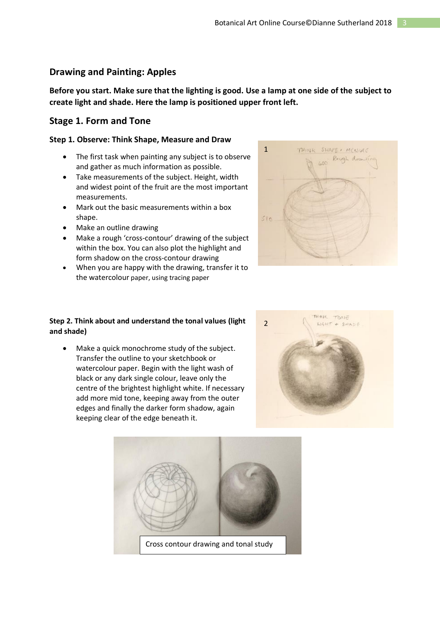# **Drawing and Painting: Apples**

**Before you start. Make sure that the lighting is good. Use a lamp at one side of the subject to create light and shade. Here the lamp is positioned upper front left.**

# **Stage 1. Form and Tone**

#### **Step 1. Observe: Think Shape, Measure and Draw**

- The first task when painting any subject is to observe and gather as much information as possible.
- Take measurements of the subject. Height, width and widest point of the fruit are the most important measurements.
- Mark out the basic measurements within a box shape.
- Make an outline drawing
- Make a rough 'cross-contour' drawing of the subject within the box. You can also plot the highlight and form shadow on the cross-contour drawing
- When you are happy with the drawing, transfer it to the watercolour paper, using tracing paper



## **Step 2. Think about and understand the tonal values (light and shade)**

• Make a quick monochrome study of the subject. Transfer the outline to your sketchbook or watercolour paper. Begin with the light wash of black or any dark single colour, leave only the centre of the brightest highlight white. If necessary add more mid tone, keeping away from the outer edges and finally the darker form shadow, again keeping clear of the edge beneath it.



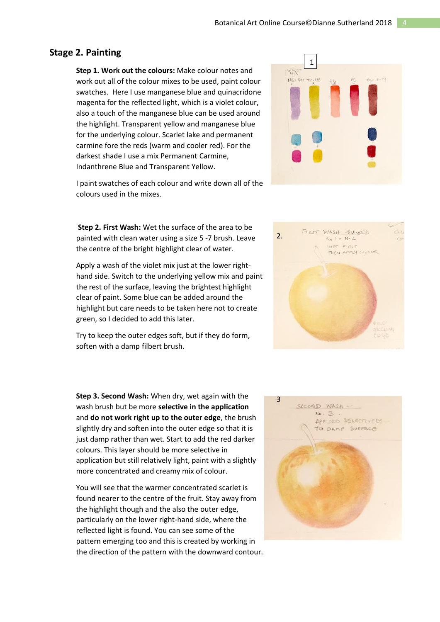## **Stage 2. Painting**

**Step 1. Work out the colours:** Make colour notes and work out all of the colour mixes to be used, paint colour swatches. Here I use manganese blue and quinacridone magenta for the reflected light, which is a violet colour, also a touch of the manganese blue can be used around the highlight. Transparent yellow and manganese blue for the underlying colour. Scarlet lake and permanent carmine fore the reds (warm and cooler red). For the darkest shade I use a mix Permanent Carmine, Indanthrene Blue and Transparent Yellow.

I paint swatches of each colour and write down all of the colours used in the mixes.

**Step 2. First Wash:** Wet the surface of the area to be painted with clean water using a size 5 -7 brush. Leave the centre of the bright highlight clear of water.

Apply a wash of the violet mix just at the lower righthand side. Switch to the underlying yellow mix and paint the rest of the surface, leaving the brightest highlight clear of paint. Some blue can be added around the highlight but care needs to be taken here not to create green, so I decided to add this later.

Try to keep the outer edges soft, but if they do form, soften with a damp filbert brush.

**Step 3. Second Wash:** When dry, wet again with the wash brush but be more **selective in the application**  and **do not work right up to the outer edge**, the brush slightly dry and soften into the outer edge so that it is just damp rather than wet. Start to add the red darker colours. This layer should be more selective in application but still relatively light, paint with a slightly more concentrated and creamy mix of colour.

You will see that the warmer concentrated scarlet is found nearer to the centre of the fruit. Stay away from the highlight though and the also the outer edge, particularly on the lower right-hand side, where the reflected light is found. You can see some of the pattern emerging too and this is created by working in the direction of the pattern with the downward contour.